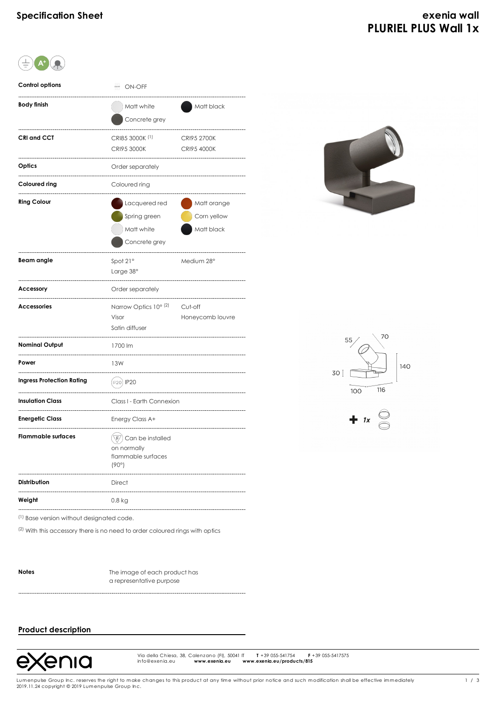| <b>Control options</b>           | <b>ON-OFF</b>                                                                    |                                          |
|----------------------------------|----------------------------------------------------------------------------------|------------------------------------------|
| Body finish                      | Matt white<br>Concrete grey                                                      | Matt black                               |
| CRI and CCT                      | CRI85 3000K <sup>(1)</sup><br><b>CRI95 3000K</b>                                 | <b>CRI95 2700K</b><br><b>CRI95 4000K</b> |
| Optics                           | Order separately                                                                 |                                          |
| Coloured ring                    | Coloured ring                                                                    |                                          |
| <b>Ring Colour</b>               | Lacquered red<br>Spring green<br>Matt white<br>Concrete grey                     | Matt orange<br>Corn yellow<br>Matt black |
| <b>Beam</b> angle                | Spot 21°<br>Large 38°                                                            | Medium 28°                               |
| Accessory                        | Order separately                                                                 |                                          |
| <b>Accessories</b>               | Narrow Optics 10° (2)<br>Visor<br>Satin diffuser                                 | Cut-off<br>Honeycomb louvre              |
| <b>Nominal Output</b>            | 1700 lm                                                                          |                                          |
| Power                            | 13W                                                                              |                                          |
| <b>Ingress Protection Rating</b> | IP20) IP20                                                                       |                                          |
| <b>Insulation Class</b>          | Class I - Earth Connexion                                                        |                                          |
| <b>Energetic Class</b>           | Energy Class A+                                                                  |                                          |
| <b>Flammable surfaces</b>        | Can be installed<br>$\overline{F}$<br>on normally<br>flammable surfaces<br>(90°) |                                          |
| Distribution                     | <b>Direct</b>                                                                    |                                          |
| Weight                           | 0.8 kg                                                                           |                                          |
|                                  |                                                                                  |                                          |



(1) Base version without designated code.

 $(2)$  With this accessory there is no need to order coloured rings with optics

**Notes** The image of each product has a representative purpose

# **Product description**



Via della Chiesa, 38, Calenzano (Finanzia), 50041<br> **Width: Explore (Finanzia), 50041**<br> **F** +39 055-5417575<br> **F** +39 055-5417575 Via della Chiesa, 38, Calenzano (FI), 50041 IT<br>info@exenia.eu **www.exenia.eu w**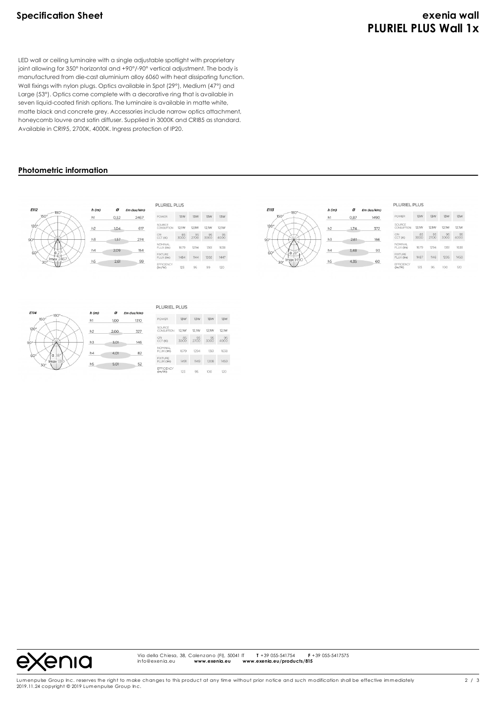# **Specification Sheet exenia wall PLURIEL PLUS Wall 1x**

LED wall or ceiling luminaire with a single adjustable spotlight with proprietary joint allowing for 350° horizontal and +90°/-90° vertical adjustment. The body is manufactured from die-cast aluminium alloy 6060 with heat dissipating function. Wall fixings with nylon plugs. Optics available in Spot (29°), Medium (47°) and Large (53°). Optics come complete with a decorative ring that is available in seven liquid-coated finish options. The luminaire is available in matte white, matte black and concrete grey. Accessories include narrow optics attachment, honeycomb louvre and satin diffuser. Supplied in 3000K and CRI85 as standard. Available in CRI95, 2700K, 4000K. Ingress protection of IP20.

# **Photometric information**







Via della Chiesa, 38, Calenzano (FI), 50041 IT **T** +39 055-541754 **F** +39 055-5417575<br>info@exenia.eu **www.exenia.eu www.exenia.eu/products/815** info@exenia.eu **www.exenia.eu www.exenia.eu/products/815**